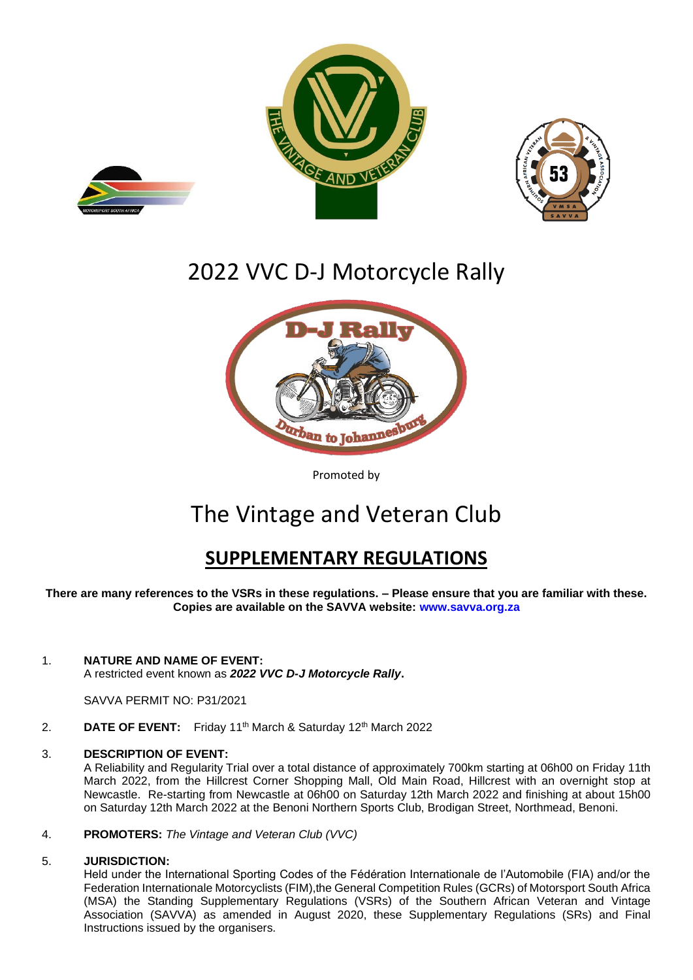







Promoted by

# The Vintage and Veteran Club

## **SUPPLEMENTARY REGULATIONS**

**There are many references to the VSRs in these regulations. – Please ensure that you are familiar with these. Copies are available on the SAVVA website: [www.savva.org.za](http://www.savva.org.za/)**

#### 1. **NATURE AND NAME OF EVENT:**

A restricted event known as *2022 VVC D-J Motorcycle Rally***.**

SAVVA PERMIT NO: P31/2021

2. **DATE OF EVENT:** Friday 11<sup>th</sup> March & Saturday 12<sup>th</sup> March 2022

#### 3. **DESCRIPTION OF EVENT:**

A Reliability and Regularity Trial over a total distance of approximately 700km starting at 06h00 on Friday 11th March 2022, from the Hillcrest Corner Shopping Mall, Old Main Road, Hillcrest with an overnight stop at Newcastle. Re-starting from Newcastle at 06h00 on Saturday 12th March 2022 and finishing at about 15h00 on Saturday 12th March 2022 at the Benoni Northern Sports Club, Brodigan Street, Northmead, Benoni.

#### 4. **PROMOTERS:** *The Vintage and Veteran Club (VVC)*

#### 5. **JURISDICTION:**

Held under the International Sporting Codes of the Fédération Internationale de l'Automobile (FIA) and/or the Federation Internationale Motorcyclists (FIM),the General Competition Rules (GCRs) of Motorsport South Africa (MSA) the Standing Supplementary Regulations (VSRs) of the Southern African Veteran and Vintage Association (SAVVA) as amended in August 2020, these Supplementary Regulations (SRs) and Final Instructions issued by the organisers.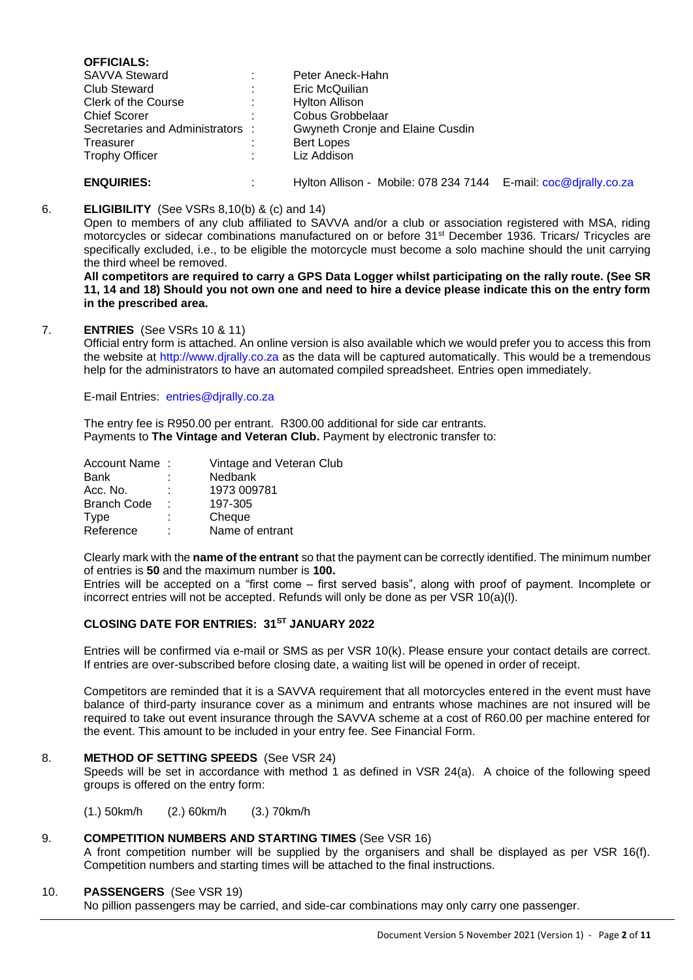| <b>OFFICIALS:</b>              |                                                                 |  |
|--------------------------------|-----------------------------------------------------------------|--|
| <b>SAVVA Steward</b>           | Peter Aneck-Hahn                                                |  |
| <b>Club Steward</b>            | Eric McQuilian                                                  |  |
| Clerk of the Course            | <b>Hylton Allison</b>                                           |  |
| <b>Chief Scorer</b>            | Cobus Grobbelaar                                                |  |
| Secretaries and Administrators | Gwyneth Cronje and Elaine Cusdin                                |  |
| Treasurer                      | <b>Bert Lopes</b>                                               |  |
| <b>Trophy Officer</b>          | Liz Addison                                                     |  |
| <b>ENQUIRIES:</b>              | Hylton Allison - Mobile: 078 234 7144 E-mail: coc@djrally.co.za |  |

#### 6. **ELIGIBILITY** (See VSRs 8,10(b) & (c) and 14)

Open to members of any club affiliated to SAVVA and/or a club or association registered with MSA, riding motorcycles or sidecar combinations manufactured on or before 31<sup>st</sup> December 1936. Tricars/ Tricycles are specifically excluded, i.e., to be eligible the motorcycle must become a solo machine should the unit carrying the third wheel be removed.

**All competitors are required to carry a GPS Data Logger whilst participating on the rally route. (See SR 11, 14 and 18) Should you not own one and need to hire a device please indicate this on the entry form in the prescribed area.**

#### 7. **ENTRIES** (See VSRs 10 & 11)

Official entry form is attached. An online version is also available which we would prefer you to access this from the website at [http://www.djrally.co.za](http://www.djrally.co.za/) as the data will be captured automatically. This would be a tremendous help for the administrators to have an automated compiled spreadsheet. Entries open immediately.

E-mail Entries: [entries@djrally.co.za](mailto:entries@djrally.co.za)

The entry fee is R950.00 per entrant. R300.00 additional for side car entrants. Payments to **The Vintage and Veteran Club.** Payment by electronic transfer to:

| Account Name: | Vintage and Veteran Club |
|---------------|--------------------------|
|               | Nedbank                  |
|               | 1973 009781              |
| ٠             | 197-305                  |
|               | Cheque                   |
| ٠             | Name of entrant          |
|               |                          |

Clearly mark with the **name of the entrant** so that the payment can be correctly identified. The minimum number of entries is **50** and the maximum number is **100.**

Entries will be accepted on a "first come – first served basis", along with proof of payment. Incomplete or incorrect entries will not be accepted. Refunds will only be done as per VSR 10(a)(l).

#### **CLOSING DATE FOR ENTRIES: 31ST JANUARY 2022**

Entries will be confirmed via e-mail or SMS as per VSR 10(k). Please ensure your contact details are correct. If entries are over-subscribed before closing date, a waiting list will be opened in order of receipt.

Competitors are reminded that it is a SAVVA requirement that all motorcycles entered in the event must have balance of third-party insurance cover as a minimum and entrants whose machines are not insured will be required to take out event insurance through the SAVVA scheme at a cost of R60.00 per machine entered for the event. This amount to be included in your entry fee. See Financial Form.

#### 8. **METHOD OF SETTING SPEEDS** (See VSR 24)

Speeds will be set in accordance with method 1 as defined in VSR 24(a). A choice of the following speed groups is offered on the entry form:

(1.) 50km/h (2.) 60km/h (3.) 70km/h

#### 9. **COMPETITION NUMBERS AND STARTING TIMES** (See VSR 16)

A front competition number will be supplied by the organisers and shall be displayed as per VSR 16(f). Competition numbers and starting times will be attached to the final instructions.

#### 10. **PASSENGERS** (See VSR 19)

No pillion passengers may be carried, and side-car combinations may only carry one passenger.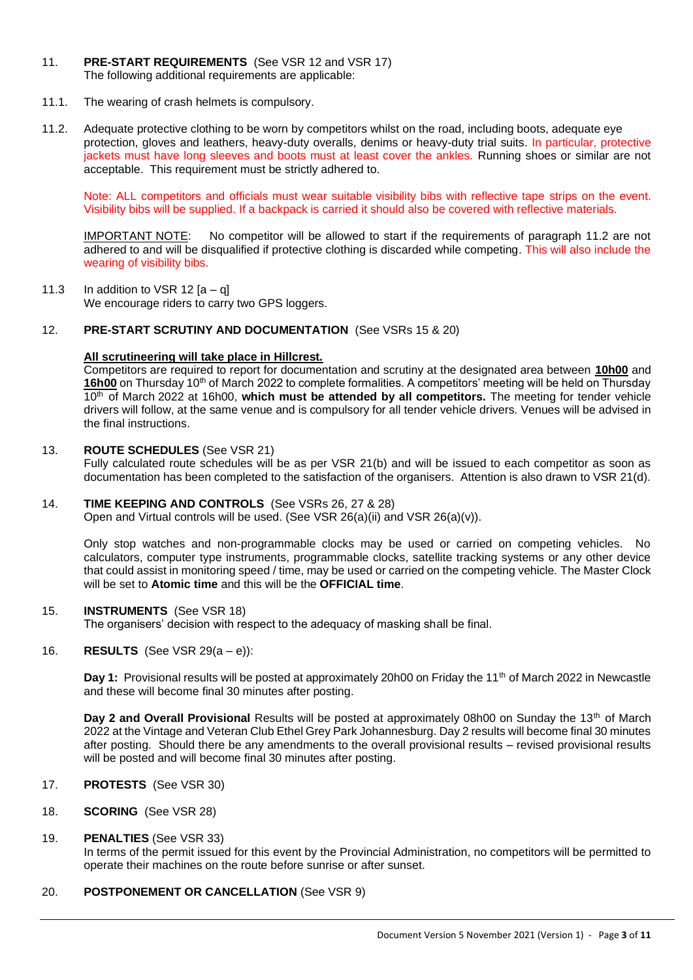- 11. **PRE-START REQUIREMENTS** (See VSR 12 and VSR 17) The following additional requirements are applicable:
- 11.1. The wearing of crash helmets is compulsory.
- 11.2. Adequate protective clothing to be worn by competitors whilst on the road, including boots, adequate eye protection, gloves and leathers, heavy-duty overalls, denims or heavy-duty trial suits. In particular, protective jackets must have long sleeves and boots must at least cover the ankles. Running shoes or similar are not acceptable. This requirement must be strictly adhered to.

Note: ALL competitors and officials must wear suitable visibility bibs with reflective tape strips on the event. Visibility bibs will be supplied. If a backpack is carried it should also be covered with reflective materials.

IMPORTANT NOTE: No competitor will be allowed to start if the requirements of paragraph 11.2 are not adhered to and will be disqualified if protective clothing is discarded while competing. This will also include the wearing of visibility bibs.

11.3 In addition to VSR 12  $[a - q]$ We encourage riders to carry two GPS loggers.

#### 12. **PRE-START SCRUTINY AND DOCUMENTATION** (See VSRs 15 & 20)

#### **All scrutineering will take place in Hillcrest.**

Competitors are required to report for documentation and scrutiny at the designated area between **10h00** and 16h00 on Thursday 10<sup>th</sup> of March 2022 to complete formalities. A competitors' meeting will be held on Thursday 10<sup>th</sup> of March 2022 at 16h00, which must be attended by all competitors. The meeting for tender vehicle drivers will follow, at the same venue and is compulsory for all tender vehicle drivers. Venues will be advised in the final instructions.

#### 13. **ROUTE SCHEDULES** (See VSR 21)

Fully calculated route schedules will be as per VSR 21(b) and will be issued to each competitor as soon as documentation has been completed to the satisfaction of the organisers. Attention is also drawn to VSR 21(d).

#### 14. **TIME KEEPING AND CONTROLS** (See VSRs 26, 27 & 28)

Open and Virtual controls will be used. (See VSR 26(a)(ii) and VSR 26(a)(v)).

Only stop watches and non-programmable clocks may be used or carried on competing vehicles. No calculators, computer type instruments, programmable clocks, satellite tracking systems or any other device that could assist in monitoring speed / time, may be used or carried on the competing vehicle. The Master Clock will be set to **Atomic time** and this will be the **OFFICIAL time**.

#### 15. **INSTRUMENTS** (See VSR 18)

The organisers' decision with respect to the adequacy of masking shall be final.

#### 16. **RESULTS** (See VSR 29(a – e)):

**Day 1:** Provisional results will be posted at approximately 20h00 on Friday the 11<sup>th</sup> of March 2022 in Newcastle and these will become final 30 minutes after posting.

**Day 2 and Overall Provisional Results will be posted at approximately 08h00 on Sunday the 13th of March** 2022 at the Vintage and Veteran Club Ethel Grey Park Johannesburg. Day 2 results will become final 30 minutes after posting. Should there be any amendments to the overall provisional results – revised provisional results will be posted and will become final 30 minutes after posting.

17. **PROTESTS** (See VSR 30)

## 18. **SCORING** (See VSR 28)

#### 19. **PENALTIES** (See VSR 33)

In terms of the permit issued for this event by the Provincial Administration, no competitors will be permitted to operate their machines on the route before sunrise or after sunset.

#### 20. **POSTPONEMENT OR CANCELLATION** (See VSR 9)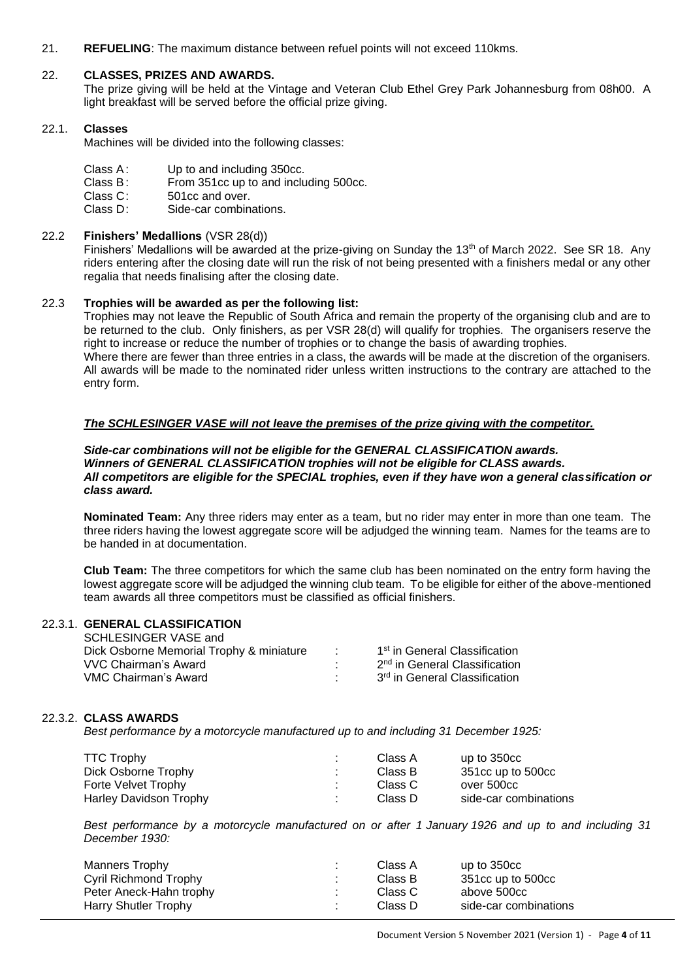21. **REFUELING**: The maximum distance between refuel points will not exceed 110kms.

#### 22. **CLASSES, PRIZES AND AWARDS.**

The prize giving will be held at the Vintage and Veteran Club Ethel Grey Park Johannesburg from 08h00. A light breakfast will be served before the official prize giving.

#### 22.1. **Classes**

Machines will be divided into the following classes:

- Class A: Up to and including 350cc.
- Class B: From 351cc up to and including 500cc.
- Class C: 501cc and over.
- Class D: Side-car combinations.

#### 22.2 **Finishers' Medallions** (VSR 28(d))

Finishers' Medallions will be awarded at the prize-giving on Sunday the 13<sup>th</sup> of March 2022. See SR 18. Any riders entering after the closing date will run the risk of not being presented with a finishers medal or any other regalia that needs finalising after the closing date.

#### 22.3 **Trophies will be awarded as per the following list:**

Trophies may not leave the Republic of South Africa and remain the property of the organising club and are to be returned to the club. Only finishers, as per VSR 28(d) will qualify for trophies. The organisers reserve the right to increase or reduce the number of trophies or to change the basis of awarding trophies. Where there are fewer than three entries in a class, the awards will be made at the discretion of the organisers. All awards will be made to the nominated rider unless written instructions to the contrary are attached to the entry form.

#### *The SCHLESINGER VASE will not leave the premises of the prize giving with the competitor.*

#### *Side-car combinations will not be eligible for the GENERAL CLASSIFICATION awards. Winners of GENERAL CLASSIFICATION trophies will not be eligible for CLASS awards. All competitors are eligible for the SPECIAL trophies, even if they have won a general classification or class award.*

**Nominated Team:** Any three riders may enter as a team, but no rider may enter in more than one team. The three riders having the lowest aggregate score will be adjudged the winning team. Names for the teams are to be handed in at documentation.

**Club Team:** The three competitors for which the same club has been nominated on the entry form having the lowest aggregate score will be adjudged the winning club team. To be eligible for either of the above-mentioned team awards all three competitors must be classified as official finishers.

#### 22.3.1. **GENERAL CLASSIFICATION**

| SCHLESINGER VASE and                     |                                           |
|------------------------------------------|-------------------------------------------|
| Dick Osborne Memorial Trophy & miniature | 1 <sup>st</sup> in General Classification |
| VVC Chairman's Award                     | 2 <sup>nd</sup> in General Classification |
| VMC Chairman's Award                     | 3 <sup>rd</sup> in General Classification |

#### 22.3.2. **CLASS AWARDS**

*Best performance by a motorcycle manufactured up to and including 31 December 1925:*

| <b>TTC Trophy</b>      |                 | Class A | up to 350cc           |
|------------------------|-----------------|---------|-----------------------|
| Dick Osborne Trophy    | <b>Contract</b> | Class B | 351cc up to 500cc     |
| Forte Velvet Trophy    | п.              | Class C | over 500cc            |
| Harley Davidson Trophy | п.,             | Class D | side-car combinations |

*Best performance by a motorcycle manufactured on or after 1 January 1926 and up to and including 31 December 1930:*

| Manners Trophy          | Class A | up to 350cc           |
|-------------------------|---------|-----------------------|
| Cyril Richmond Trophy   | Class B | 351cc up to 500cc     |
| Peter Aneck-Hahn trophy | Class C | above 500cc           |
| Harry Shutler Trophy    | Class D | side-car combinations |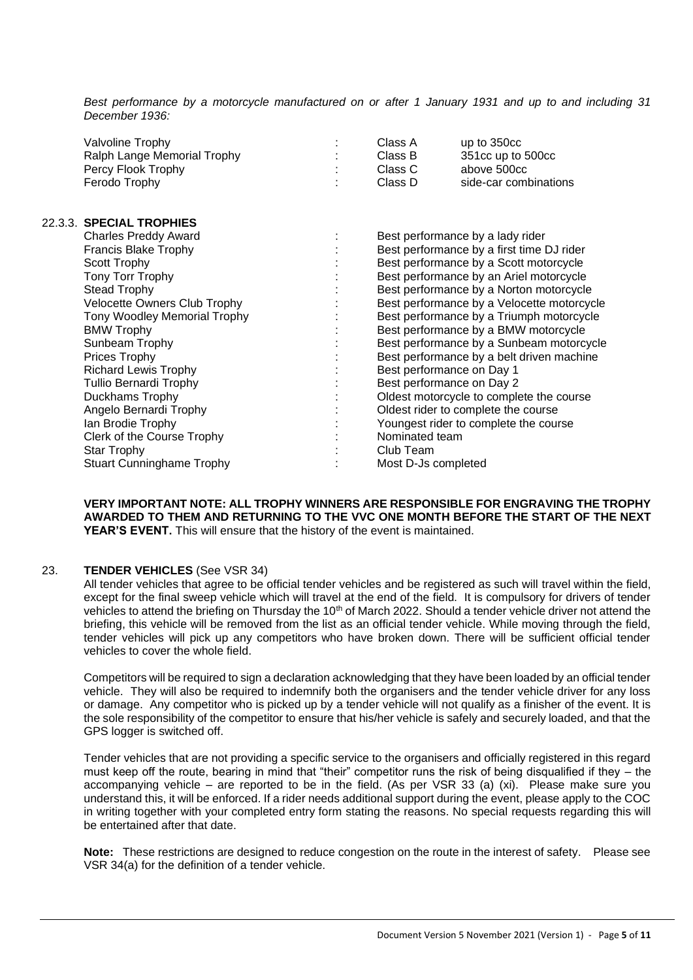*Best performance by a motorcycle manufactured on or after 1 January 1931 and up to and including 31 December 1936:*

| Valvoline Trophy            | Class A | up to $350cc$         |
|-----------------------------|---------|-----------------------|
| Ralph Lange Memorial Trophy | Class B | 351cc up to 500cc     |
| Percy Flook Trophy          | Class C | above 500cc           |
| Ferodo Trophy               | Class D | side-car combinations |

| 22.3.3. SPECIAL TROPHIES         |                                            |
|----------------------------------|--------------------------------------------|
| <b>Charles Preddy Award</b>      | Best performance by a lady rider           |
| Francis Blake Trophy             | Best performance by a first time DJ rider  |
| Scott Trophy                     | Best performance by a Scott motorcycle     |
| Tony Torr Trophy                 | Best performance by an Ariel motorcycle    |
| Stead Trophy                     | Best performance by a Norton motorcycle    |
| Velocette Owners Club Trophy     | Best performance by a Velocette motorcycle |
| Tony Woodley Memorial Trophy     | Best performance by a Triumph motorcycle   |
| <b>BMW Trophy</b>                | Best performance by a BMW motorcycle       |
| Sunbeam Trophy                   | Best performance by a Sunbeam motorcycle   |
| Prices Trophy                    | Best performance by a belt driven machine  |
| <b>Richard Lewis Trophy</b>      | Best performance on Day 1                  |
| <b>Tullio Bernardi Trophy</b>    | Best performance on Day 2                  |
| Duckhams Trophy                  | Oldest motorcycle to complete the course   |
| Angelo Bernardi Trophy           | Oldest rider to complete the course        |
| Ian Brodie Trophy                | Youngest rider to complete the course      |
| Clerk of the Course Trophy       | Nominated team                             |
| Star Trophy                      | Club Team                                  |
| <b>Stuart Cunninghame Trophy</b> | Most D-Js completed                        |

**VERY IMPORTANT NOTE: ALL TROPHY WINNERS ARE RESPONSIBLE FOR ENGRAVING THE TROPHY AWARDED TO THEM AND RETURNING TO THE VVC ONE MONTH BEFORE THE START OF THE NEXT YEAR'S EVENT.** This will ensure that the history of the event is maintained.

#### 23. **TENDER VEHICLES** (See VSR 34)

All tender vehicles that agree to be official tender vehicles and be registered as such will travel within the field, except for the final sweep vehicle which will travel at the end of the field. It is compulsory for drivers of tender vehicles to attend the briefing on Thursday the 10<sup>th</sup> of March 2022. Should a tender vehicle driver not attend the briefing, this vehicle will be removed from the list as an official tender vehicle. While moving through the field, tender vehicles will pick up any competitors who have broken down. There will be sufficient official tender vehicles to cover the whole field.

Competitors will be required to sign a declaration acknowledging that they have been loaded by an official tender vehicle. They will also be required to indemnify both the organisers and the tender vehicle driver for any loss or damage. Any competitor who is picked up by a tender vehicle will not qualify as a finisher of the event. It is the sole responsibility of the competitor to ensure that his/her vehicle is safely and securely loaded, and that the GPS logger is switched off.

Tender vehicles that are not providing a specific service to the organisers and officially registered in this regard must keep off the route, bearing in mind that "their" competitor runs the risk of being disqualified if they – the accompanying vehicle – are reported to be in the field. (As per VSR 33 (a) (xi). Please make sure you understand this, it will be enforced. If a rider needs additional support during the event, please apply to the COC in writing together with your completed entry form stating the reasons. No special requests regarding this will be entertained after that date.

**Note:** These restrictions are designed to reduce congestion on the route in the interest of safety. Please see VSR 34(a) for the definition of a tender vehicle.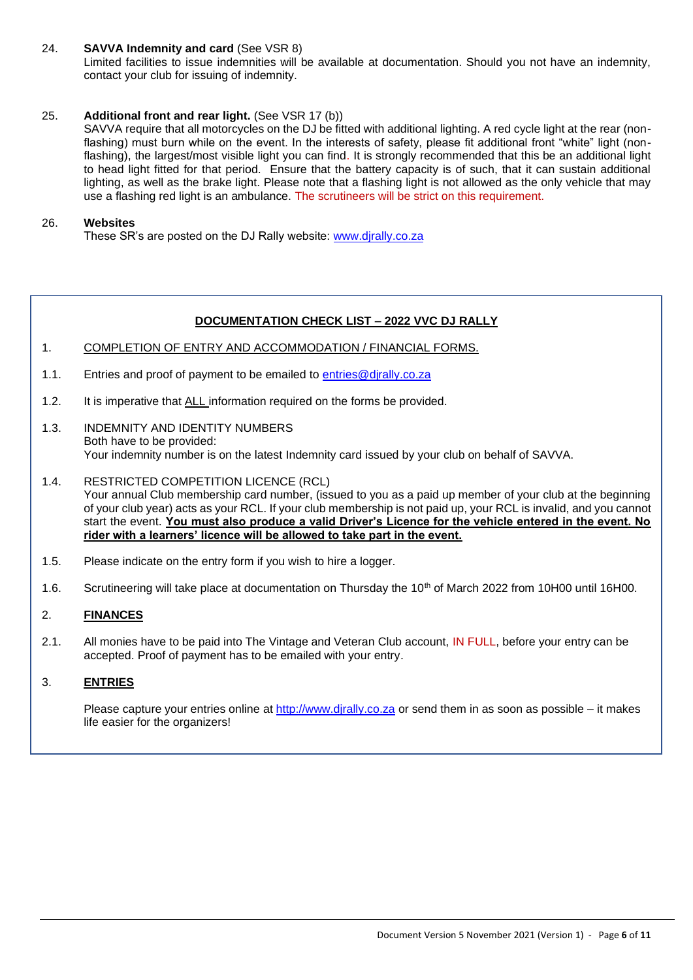#### 24. **SAVVA Indemnity and card** (See VSR 8)

Limited facilities to issue indemnities will be available at documentation. Should you not have an indemnity, contact your club for issuing of indemnity.

### 25. **Additional front and rear light.** (See VSR 17 (b))

SAVVA require that all motorcycles on the DJ be fitted with additional lighting. A red cycle light at the rear (nonflashing) must burn while on the event. In the interests of safety, please fit additional front "white" light (nonflashing), the largest/most visible light you can find. It is strongly recommended that this be an additional light to head light fitted for that period. Ensure that the battery capacity is of such, that it can sustain additional lighting, as well as the brake light. Please note that a flashing light is not allowed as the only vehicle that may use a flashing red light is an ambulance. The scrutineers will be strict on this requirement.

#### 26. **Websites**

These SR's are posted on the DJ Rally website: [www.djrally.co.za](http://www.djrally.co.za/)

#### **DOCUMENTATION CHECK LIST – 2022 VVC DJ RALLY**

- 1. COMPLETION OF ENTRY AND ACCOMMODATION / FINANCIAL FORMS.
- 1.1. Entries and proof of payment to be emailed to entries@dirally.co.za
- 1.2. It is imperative that ALL information required on the forms be provided.
- 1.3. INDEMNITY AND IDENTITY NUMBERS Both have to be provided: Your indemnity number is on the latest Indemnity card issued by your club on behalf of SAVVA.
- 1.4. RESTRICTED COMPETITION LICENCE (RCL) Your annual Club membership card number, (issued to you as a paid up member of your club at the beginning of your club year) acts as your RCL. If your club membership is not paid up, your RCL is invalid, and you cannot start the event. **You must also produce a valid Driver's Licence for the vehicle entered in the event. No rider with a learners' licence will be allowed to take part in the event.**
- 1.5. Please indicate on the entry form if you wish to hire a logger.
- 1.6. Scrutineering will take place at documentation on Thursday the 10<sup>th</sup> of March 2022 from 10H00 until 16H00.

#### 2. **FINANCES**

2.1. All monies have to be paid into The Vintage and Veteran Club account, IN FULL, before your entry can be accepted. Proof of payment has to be emailed with your entry.

#### 3. **ENTRIES**

Please capture your entries online at [http://www.djrally.co.za](http://www.djrally.co.za/) or send them in as soon as possible – it makes life easier for the organizers!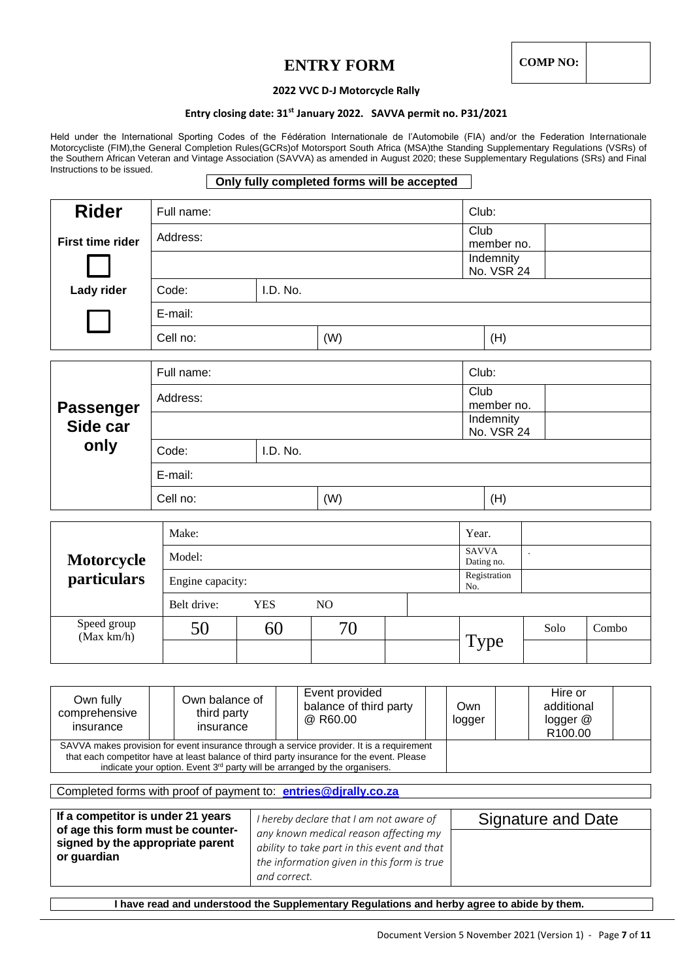## **ENTRY FORM** COMP NO:

#### **2022 VVC D-J Motorcycle Rally**

#### **Entry closing date: 31st January 2022. SAVVA permit no. P31/2021**

Held under the International Sporting Codes of the Fédération Internationale de l'Automobile (FIA) and/or the Federation Internationale Motorcycliste (FIM),the General Completion Rules(GCRs)of Motorsport South Africa (MSA)the Standing Supplementary Regulations (VSRs) of the Southern African Veteran and Vintage Association (SAVVA) as amended in August 2020; these Supplementary Regulations (SRs) and Final Instructions to be issued.

#### **Only fully completed forms will be accepted**

| <b>Rider</b>              | Full name:       |                    |                         |  |                            |                      |       |
|---------------------------|------------------|--------------------|-------------------------|--|----------------------------|----------------------|-------|
| <b>First time rider</b>   | Address:         | Club<br>member no. |                         |  |                            |                      |       |
|                           |                  |                    | Indemnity<br>No. VSR 24 |  |                            |                      |       |
| Lady rider                | Code:            | I.D. No.           |                         |  |                            |                      |       |
|                           | E-mail:          |                    |                         |  |                            |                      |       |
|                           | Cell no:         |                    | (W)                     |  | (H)                        |                      |       |
|                           | Full name:       |                    |                         |  | Club:                      |                      |       |
|                           |                  |                    |                         |  | Club                       |                      |       |
| <b>Passenger</b>          | Address:         |                    |                         |  | member no.                 |                      |       |
| Side car                  |                  |                    |                         |  | Indemnity<br>No. VSR 24    |                      |       |
| only                      | Code:            | I.D. No.           |                         |  |                            |                      |       |
|                           | E-mail:          |                    |                         |  |                            |                      |       |
|                           | Cell no:<br>(W)  |                    |                         |  | (H)                        |                      |       |
|                           | Make:            |                    |                         |  | Year.                      |                      |       |
| Motorcycle                | Model:           |                    |                         |  | <b>SAVVA</b><br>Dating no. | $\ddot{\phantom{a}}$ |       |
| particulars               | Engine capacity: |                    |                         |  | Registration<br>No.        |                      |       |
|                           | Belt drive:      | <b>YES</b>         | NO                      |  |                            |                      |       |
| Speed group<br>(Max km/h) | 50               | 60                 | 70                      |  |                            | Solo                 | Combo |
|                           |                  |                    |                         |  | Type                       |                      |       |
|                           |                  |                    |                         |  |                            |                      |       |
|                           |                  |                    | Event provided          |  |                            | $Hira$ or            |       |

| Own fully<br>comprehensive<br>insurance | Own balance of<br>third party<br>insurance                                                                                                                                                                                                                            | Event provided<br>balance of third party<br>@ R60.00 | Own<br>logger | Hire or<br>additional<br>logger $@$<br>R <sub>100.00</sub> |
|-----------------------------------------|-----------------------------------------------------------------------------------------------------------------------------------------------------------------------------------------------------------------------------------------------------------------------|------------------------------------------------------|---------------|------------------------------------------------------------|
|                                         | SAVVA makes provision for event insurance through a service provider. It is a requirement<br>that each competitor have at least balance of third party insurance for the event. Please<br>indicate your option. Event $3rd$ party will be arranged by the organisers. |                                                      |               |                                                            |

Completed forms with proof of payment to: **[entries@djrally.co.za](mailto:entries@djrally.co.za)**

**If a competitor is under 21 years of age this form must be countersigned by the appropriate parent or guardian** *I hereby declare that I am not aware of any known medical reason affecting my ability to take part in this event and that the information given in this form is true and correct.* Signature and Date

**I have read and understood the Supplementary Regulations and herby agree to abide by them.**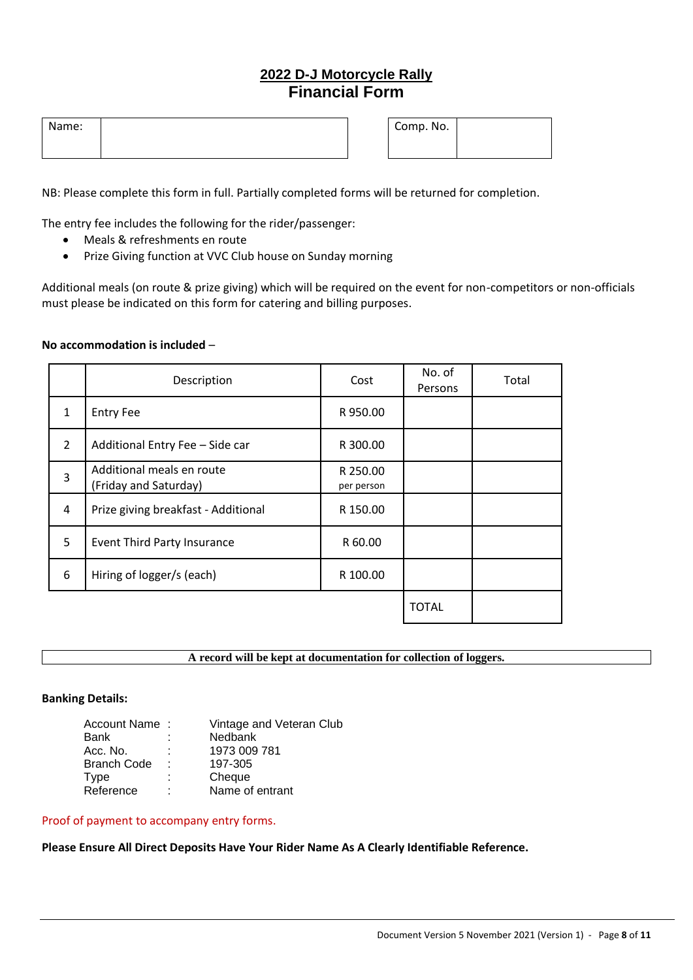## **2022 D-J Motorcycle Rally Financial Form**

| Name: |  | Comp. No. |  |
|-------|--|-----------|--|
|       |  |           |  |

NB: Please complete this form in full. Partially completed forms will be returned for completion.

The entry fee includes the following for the rider/passenger:

- Meals & refreshments en route
- Prize Giving function at VVC Club house on Sunday morning

Additional meals (on route & prize giving) which will be required on the event for non-competitors or non-officials must please be indicated on this form for catering and billing purposes.

#### **No accommodation is included** –

|               | Description                                        | Cost                   | No. of<br>Persons | Total |
|---------------|----------------------------------------------------|------------------------|-------------------|-------|
| $\mathbf{1}$  | <b>Entry Fee</b>                                   | R 950.00               |                   |       |
| $\mathcal{L}$ | Additional Entry Fee - Side car                    | R 300.00               |                   |       |
| 3             | Additional meals en route<br>(Friday and Saturday) | R 250.00<br>per person |                   |       |
| 4             | Prize giving breakfast - Additional                | R 150.00               |                   |       |
| 5             | <b>Event Third Party Insurance</b>                 | R 60.00                |                   |       |
| 6             | Hiring of logger/s (each)                          | R 100.00               |                   |       |
|               |                                                    |                        | <b>TOTAL</b>      |       |

**A record will be kept at documentation for collection of loggers.**

#### **Banking Details:**

| Account Name: |    | Vintage and Veteran Club |
|---------------|----|--------------------------|
| Bank          |    | Nedbank                  |
| Acc. No.      | ۰. | 1973 009 781             |
| Branch Code   | ٠  | 197-305                  |
| Type          | ÷  | Cheque                   |
| Reference     | ٠  | Name of entrant          |

#### Proof of payment to accompany entry forms.

**Please Ensure All Direct Deposits Have Your Rider Name As A Clearly Identifiable Reference.**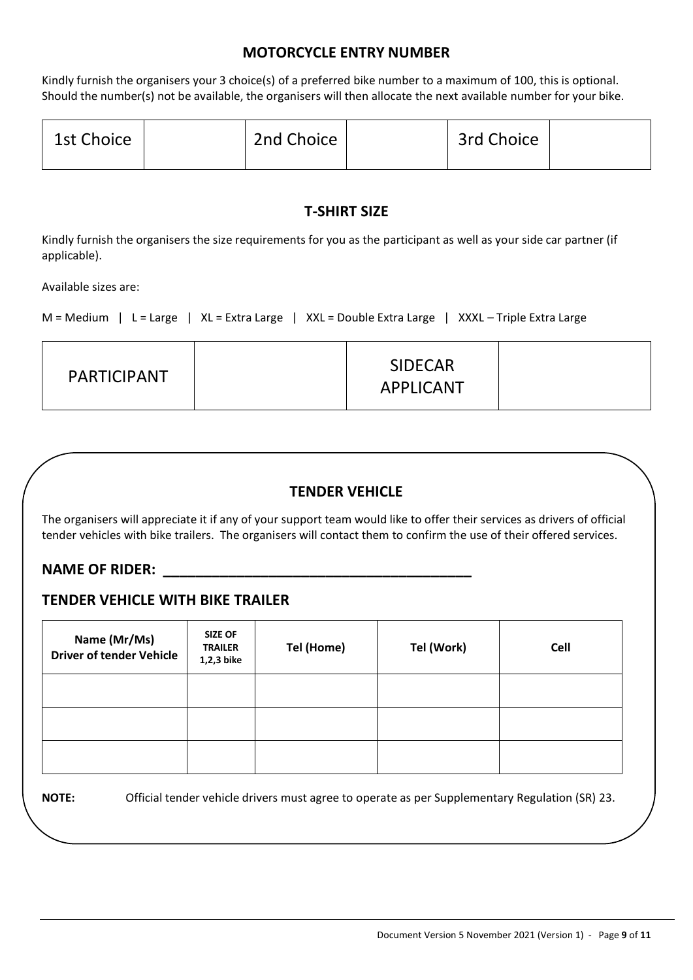## **MOTORCYCLE ENTRY NUMBER**

Kindly furnish the organisers your 3 choice(s) of a preferred bike number to a maximum of 100, this is optional. Should the number(s) not be available, the organisers will then allocate the next available number for your bike.

| 1st Choice | 2nd Choice | 3rd Choice |  |
|------------|------------|------------|--|
|            |            |            |  |

## **T-SHIRT SIZE**

Kindly furnish the organisers the size requirements for you as the participant as well as your side car partner (if applicable).

Available sizes are:

```
M = Medium | L = Large | XL = Extra Large | XXL = Double Extra Large | XXXL – Triple Extra Large
```

| <b>PARTICIPANT</b> | <b>SIDECAR</b><br><b>APPLICANT</b> |  |
|--------------------|------------------------------------|--|
|                    |                                    |  |

## **TENDER VEHICLE**

The organisers will appreciate it if any of your support team would like to offer their services as drivers of official tender vehicles with bike trailers. The organisers will contact them to confirm the use of their offered services.

### NAME OF RIDER:

## **TENDER VEHICLE WITH BIKE TRAILER**

| Name (Mr/Ms)<br><b>Driver of tender Vehicle</b> | <b>SIZE OF</b><br><b>TRAILER</b><br>1,2,3 bike | Tel (Home) | Tel (Work) | <b>Cell</b> |
|-------------------------------------------------|------------------------------------------------|------------|------------|-------------|
|                                                 |                                                |            |            |             |
|                                                 |                                                |            |            |             |
|                                                 |                                                |            |            |             |

**NOTE:** Official tender vehicle drivers must agree to operate as per Supplementary Regulation (SR) 23.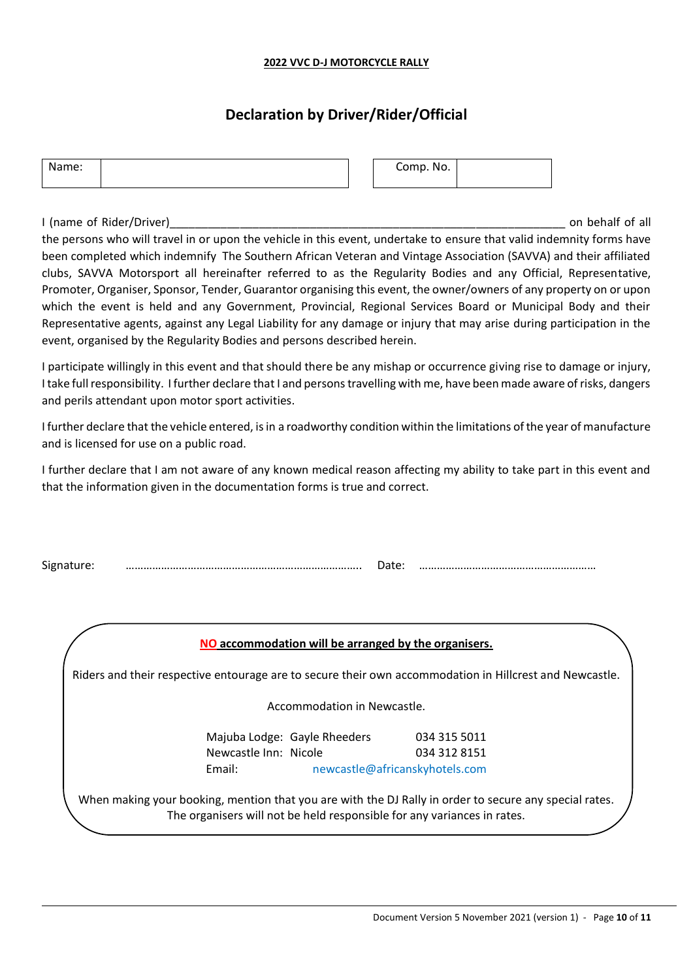#### **2022 VVC D-J MOTORCYCLE RALLY**

## **Declaration by Driver/Rider/Official**

| Name: |  | Comp. No. |  |
|-------|--|-----------|--|
|       |  |           |  |

I (name of Rider/Driver) and the state of the state of all the state of all the state of all the state of all the state of all the state of all the state of all the state of all the state of all the state of all the state

the persons who will travel in or upon the vehicle in this event, undertake to ensure that valid indemnity forms have been completed which indemnify The Southern African Veteran and Vintage Association (SAVVA) and their affiliated clubs, SAVVA Motorsport all hereinafter referred to as the Regularity Bodies and any Official, Representative, Promoter, Organiser, Sponsor, Tender, Guarantor organising this event, the owner/owners of any property on or upon which the event is held and any Government, Provincial, Regional Services Board or Municipal Body and their Representative agents, against any Legal Liability for any damage or injury that may arise during participation in the event, organised by the Regularity Bodies and persons described herein.

I participate willingly in this event and that should there be any mishap or occurrence giving rise to damage or injury, I take full responsibility. I further declare that I and persons travelling with me, have been made aware of risks, dangers and perils attendant upon motor sport activities.

I further declare that the vehicle entered, is in a roadworthy condition within the limitations of the year of manufacture and is licensed for use on a public road.

I further declare that I am not aware of any known medical reason affecting my ability to take part in this event and that the information given in the documentation forms is true and correct.

| - - |  |  |
|-----|--|--|

| NO accommodation will be arranged by the organisers. |
|------------------------------------------------------|
|------------------------------------------------------|

Riders and their respective entourage are to secure their own accommodation in Hillcrest and Newcastle.

Accommodation in Newcastle.

Majuba Lodge: Gayle Rheeders 034 315 5011 Newcastle Inn: Nicole 034 312 8151 Email: newcastle@africanskyhotels.com

When making your booking, mention that you are with the DJ Rally in order to secure any special rates. The organisers will not be held responsible for any variances in rates.